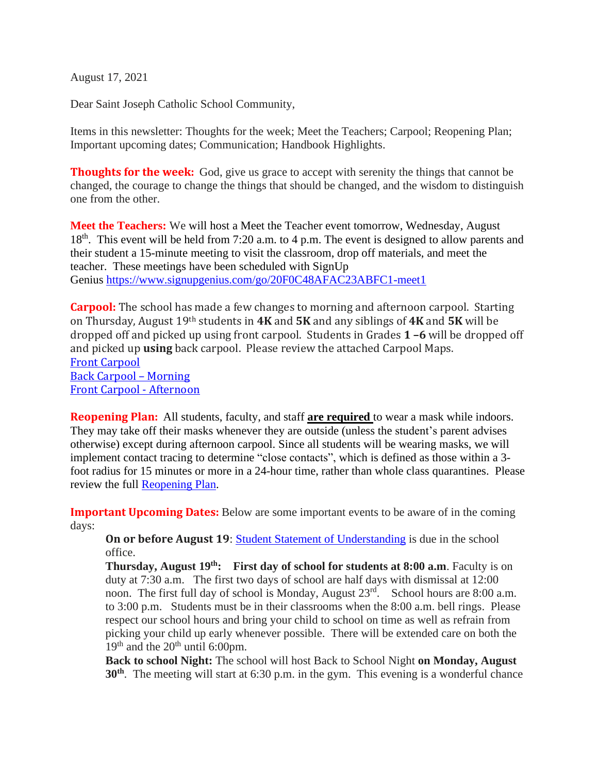August 17, 2021

Dear Saint Joseph Catholic School Community,

Items in this newsletter: Thoughts for the week; Meet the Teachers; Carpool; Reopening Plan; Important upcoming dates; Communication; Handbook Highlights.

**Thoughts for the week:** God, give us grace to accept with serenity the things that cannot be changed, the courage to change the things that should be changed, and the wisdom to distinguish one from the other.

**Meet the Teachers:** We will host a Meet the Teacher event tomorrow, Wednesday, August 18<sup>th</sup>. This event will be held from 7:20 a.m. to 4 p.m. The event is designed to allow parents and their student a 15-minute meeting to visit the classroom, drop off materials, and meet the teacher. These meetings have been scheduled with SignUp Genius <https://www.signupgenius.com/go/20F0C48AFAC23ABFC1-meet1>

**Carpool:** The school has made a few changes to morning and afternoon carpool. Starting on Thursday, August 19th students in **4K** and **5K** and any siblings of **4K** and **5K** will be dropped off and picked up using front carpool. Students in Grades **1 –6** will be dropped off and picked up **using** back carpool. Please review the attached Carpool Maps. Front [Carpool](https://8031f793-3c69-48a4-b7ad-fa51d1caa95c.usrfiles.com/ugd/8031f7_f6ef6e4f80ac4fc0817f6a416b3c56e5.pdf) Back Carpool – [Morning](https://8031f793-3c69-48a4-b7ad-fa51d1caa95c.usrfiles.com/ugd/8031f7_e7e98d02006042b98e923736beb3f1ba.pdf) Front Carpool - [Afternoon](https://8031f793-3c69-48a4-b7ad-fa51d1caa95c.usrfiles.com/ugd/8031f7_c63b267fccab4d4db5be15810c7a933d.pdf)

**Reopening Plan:** All students, faculty, and staff **are required** to wear a mask while indoors. They may take off their masks whenever they are outside (unless the student's parent advises otherwise) except during afternoon carpool. Since all students will be wearing masks, we will implement contact tracing to determine "close contacts", which is defined as those within a 3 foot radius for 15 minutes or more in a 24-hour time, rather than whole class quarantines. Please review the full [Reopening](https://8031f793-3c69-48a4-b7ad-fa51d1caa95c.usrfiles.com/ugd/8031f7_802cd78e0a264e3caadfcde4f4c9bee6.pdf) Plan.

**Important Upcoming Dates:** Below are some important events to be aware of in the coming days:

**On or before August 19**: Student Statement of [Understanding](https://8031f793-3c69-48a4-b7ad-fa51d1caa95c.usrfiles.com/ugd/8031f7_83e0174b54b5480387f6630024b8af75.pdf) is due in the school office.

**Thursday, August 19th: First day of school for students at 8:00 a.m**. Faculty is on duty at 7:30 a.m. The first two days of school are half days with dismissal at 12:00 noon. The first full day of school is Monday, August 23<sup>rd</sup>. School hours are 8:00 a.m. to 3:00 p.m. Students must be in their classrooms when the 8:00 a.m. bell rings. Please respect our school hours and bring your child to school on time as well as refrain from picking your child up early whenever possible. There will be extended care on both the  $19<sup>th</sup>$  and the  $20<sup>th</sup>$  until 6:00pm.

**Back to school Night:** The school will host Back to School Night **on Monday, August 30th** . The meeting will start at 6:30 p.m. in the gym. This evening is a wonderful chance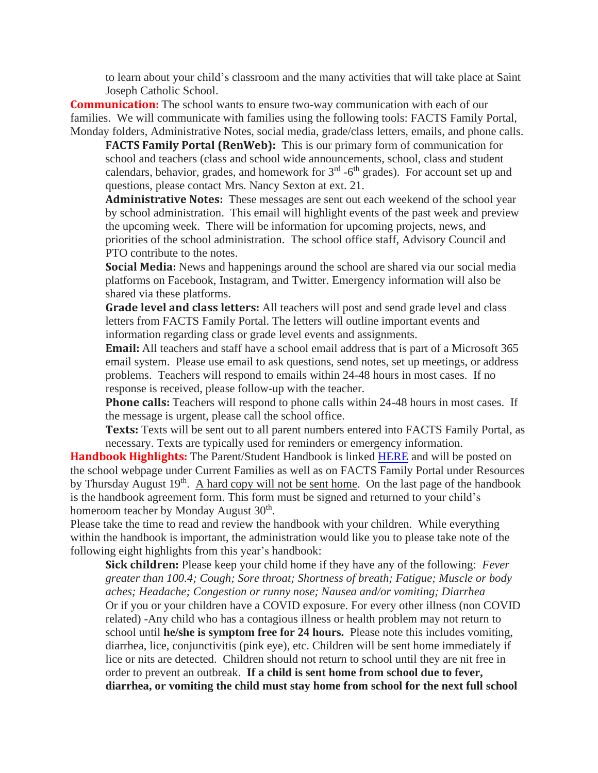to learn about your child's classroom and the many activities that will take place at Saint Joseph Catholic School.

**Communication:** The school wants to ensure two-way communication with each of our families. We will communicate with families using the following tools: FACTS Family Portal, Monday folders, Administrative Notes, social media, grade/class letters, emails, and phone calls.

**FACTS Family Portal (RenWeb):** This is our primary form of communication for school and teachers (class and school wide announcements, school, class and student calendars, behavior, grades, and homework for  $3<sup>rd</sup>$  -6<sup>th</sup> grades). For account set up and questions, please contact Mrs. Nancy Sexton at ext. 21.

**Administrative Notes:** These messages are sent out each weekend of the school year by school administration. This email will highlight events of the past week and preview the upcoming week. There will be information for upcoming projects, news, and priorities of the school administration. The school office staff, Advisory Council and PTO contribute to the notes.

**Social Media:** News and happenings around the school are shared via our social media platforms on Facebook, Instagram, and Twitter. Emergency information will also be shared via these platforms.

**Grade level and class letters:** All teachers will post and send grade level and class letters from FACTS Family Portal. The letters will outline important events and information regarding class or grade level events and assignments.

**Email:** All teachers and staff have a school email address that is part of a Microsoft 365 email system. Please use email to ask questions, send notes, set up meetings, or address problems. Teachers will respond to emails within 24-48 hours in most cases. If no response is received, please follow-up with the teacher.

**Phone calls:** Teachers will respond to phone calls within 24-48 hours in most cases. If the message is urgent, please call the school office.

**Texts:** Texts will be sent out to all parent numbers entered into FACTS Family Portal, as necessary. Texts are typically used for reminders or emergency information.

**Handbook Highlights:** The Parent/Student Handbook is linked [HERE](https://8031f793-3c69-48a4-b7ad-fa51d1caa95c.usrfiles.com/ugd/8031f7_8cf9c67d83d04cf6828d9f5d31c7fd92.pdf) and will be posted on the school webpage under Current Families as well as on FACTS Family Portal under Resources by Thursday August 19<sup>th</sup>. A hard copy will not be sent home. On the last page of the handbook is the handbook agreement form. This form must be signed and returned to your child's homeroom teacher by Monday August 30<sup>th</sup>.

Please take the time to read and review the handbook with your children. While everything within the handbook is important, the administration would like you to please take note of the following eight highlights from this year's handbook:

**Sick children:** Please keep your child home if they have any of the following: *Fever greater than 100.4; Cough; Sore throat; Shortness of breath; Fatigue; Muscle or body aches; Headache; Congestion or runny nose; Nausea and/or vomiting; Diarrhea* Or if you or your children have a COVID exposure. For every other illness (non COVID related) -Any child who has a contagious illness or health problem may not return to school until **he/she is symptom free for 24 hours.** Please note this includes vomiting, diarrhea, lice, conjunctivitis (pink eye), etc. Children will be sent home immediately if lice or nits are detected. Children should not return to school until they are nit free in order to prevent an outbreak. **If a child is sent home from school due to fever, diarrhea, or vomiting the child must stay home from school for the next full school**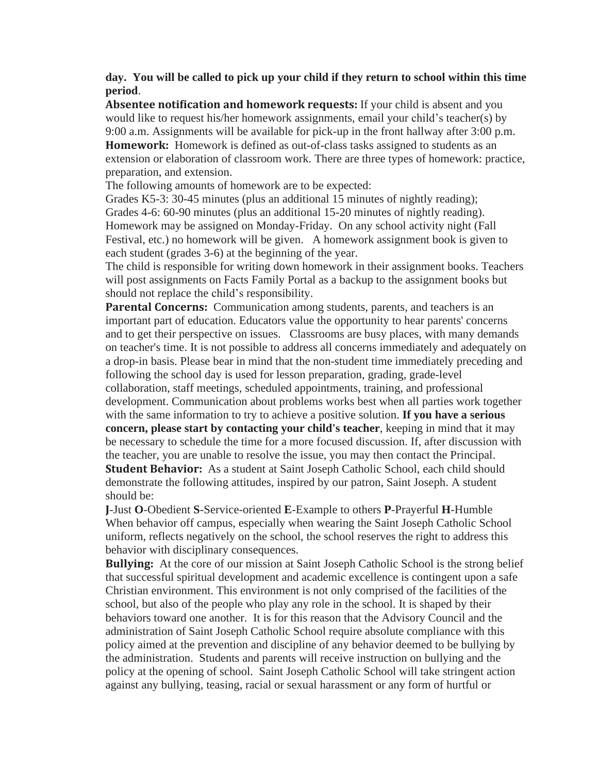**day. You will be called to pick up your child if they return to school within this time period**.

**Absentee notification and homework requests:** If your child is absent and you would like to request his/her homework assignments, email your child's teacher(s) by 9:00 a.m. Assignments will be available for pick-up in the front hallway after 3:00 p.m. **Homework:** Homework is defined as out-of-class tasks assigned to students as an extension or elaboration of classroom work. There are three types of homework: practice, preparation, and extension.

The following amounts of homework are to be expected:

Grades K5-3: 30-45 minutes (plus an additional 15 minutes of nightly reading); Grades 4-6: 60-90 minutes (plus an additional 15-20 minutes of nightly reading). Homework may be assigned on Monday-Friday. On any school activity night (Fall Festival, etc.) no homework will be given. A homework assignment book is given to each student (grades 3-6) at the beginning of the year.

The child is responsible for writing down homework in their assignment books. Teachers will post assignments on Facts Family Portal as a backup to the assignment books but should not replace the child's responsibility.

**Parental Concerns:** Communication among students, parents, and teachers is an important part of education. Educators value the opportunity to hear parents' concerns and to get their perspective on issues. Classrooms are busy places, with many demands on teacher's time. It is not possible to address all concerns immediately and adequately on a drop-in basis. Please bear in mind that the non-student time immediately preceding and following the school day is used for lesson preparation, grading, grade-level collaboration, staff meetings, scheduled appointments, training, and professional development. Communication about problems works best when all parties work together with the same information to try to achieve a positive solution. **If you have a serious concern, please start by contacting your child's teacher**, keeping in mind that it may be necessary to schedule the time for a more focused discussion. If, after discussion with the teacher, you are unable to resolve the issue, you may then contact the Principal. **Student Behavior:** As a student at Saint Joseph Catholic School, each child should demonstrate the following attitudes, inspired by our patron, Saint Joseph. A student

should be:

**J**-Just **O**-Obedient **S**-Service-oriented **E**-Example to others **P**-Prayerful **H**-Humble When behavior off campus, especially when wearing the Saint Joseph Catholic School uniform, reflects negatively on the school, the school reserves the right to address this behavior with disciplinary consequences.

**Bullying:** At the core of our mission at Saint Joseph Catholic School is the strong belief that successful spiritual development and academic excellence is contingent upon a safe Christian environment. This environment is not only comprised of the facilities of the school, but also of the people who play any role in the school. It is shaped by their behaviors toward one another. It is for this reason that the Advisory Council and the administration of Saint Joseph Catholic School require absolute compliance with this policy aimed at the prevention and discipline of any behavior deemed to be bullying by the administration. Students and parents will receive instruction on bullying and the policy at the opening of school. Saint Joseph Catholic School will take stringent action against any bullying, teasing, racial or sexual harassment or any form of hurtful or